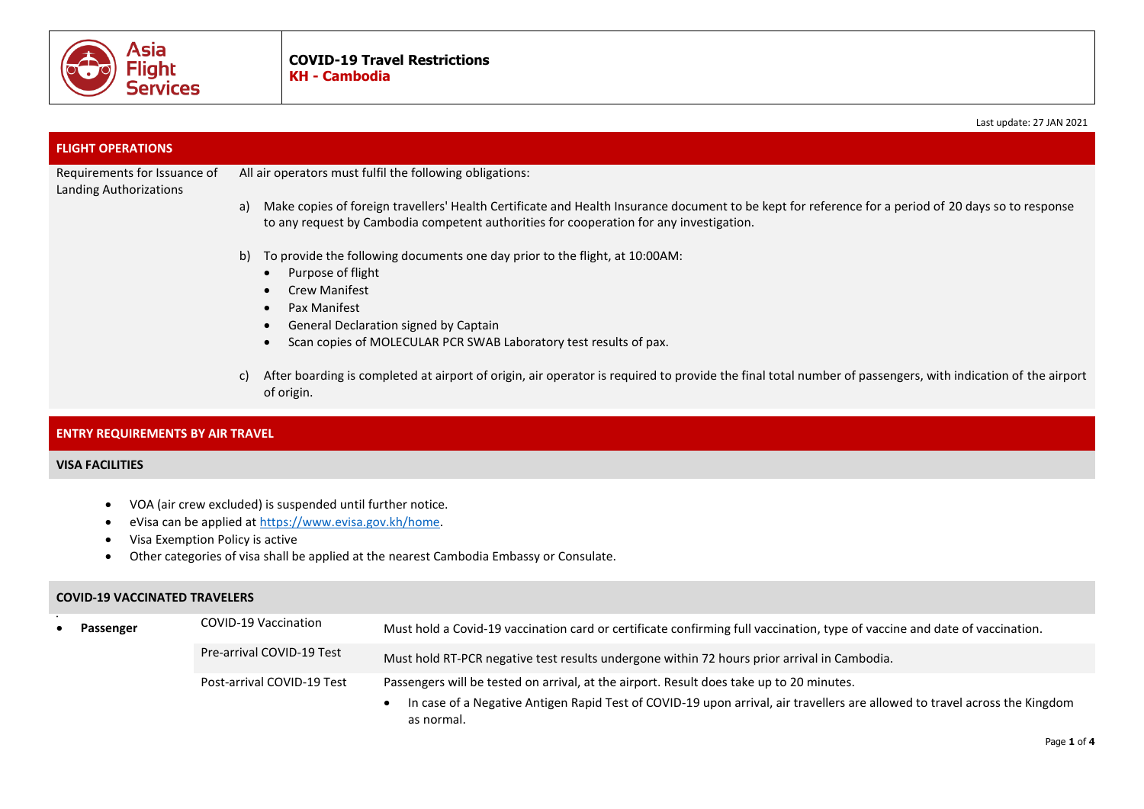

|                                                        | Last update: 27 JAN 2021                                                                                                                                                                                                                                                               |
|--------------------------------------------------------|----------------------------------------------------------------------------------------------------------------------------------------------------------------------------------------------------------------------------------------------------------------------------------------|
| <b>FLIGHT OPERATIONS</b>                               |                                                                                                                                                                                                                                                                                        |
| Requirements for Issuance of<br>Landing Authorizations | All air operators must fulfil the following obligations:                                                                                                                                                                                                                               |
|                                                        | Make copies of foreign travellers' Health Certificate and Health Insurance document to be kept for reference for a period of 20 days so to response<br>a)<br>to any request by Cambodia competent authorities for cooperation for any investigation.                                   |
|                                                        | To provide the following documents one day prior to the flight, at 10:00AM:<br>b)<br>Purpose of flight<br>$\bullet$<br><b>Crew Manifest</b><br>Pax Manifest<br>$\bullet$<br>General Declaration signed by Captain<br>Scan copies of MOLECULAR PCR SWAB Laboratory test results of pax. |
|                                                        | After boarding is completed at airport of origin, air operator is required to provide the final total number of passengers, with indication of the airport<br>of origin.                                                                                                               |

## **ENTRY REQUIREMENTS BY AIR TRAVEL**

## **VISA FACILITIES**

- VOA (air crew excluded) is suspended until further notice.
- eVisa can be applied at [https://www.evisa.gov.kh/home.](https://www.evisa.gov.kh/home)
- Visa Exemption Policy is active
- Other categories of visa shall be applied at the nearest Cambodia Embassy or Consulate.

## **COVID-19 VACCINATED TRAVELERS**

|  | Passenger | COVID-19 Vaccination       | Must hold a Covid-19 vaccination card or certificate confirming full vaccination, type of vaccine and date of vaccination.               |
|--|-----------|----------------------------|------------------------------------------------------------------------------------------------------------------------------------------|
|  |           | Pre-arrival COVID-19 Test  | Must hold RT-PCR negative test results undergone within 72 hours prior arrival in Cambodia.                                              |
|  |           | Post-arrival COVID-19 Test | Passengers will be tested on arrival, at the airport. Result does take up to 20 minutes.                                                 |
|  |           |                            | In case of a Negative Antigen Rapid Test of COVID-19 upon arrival, air travellers are allowed to travel across the Kingdom<br>as normal. |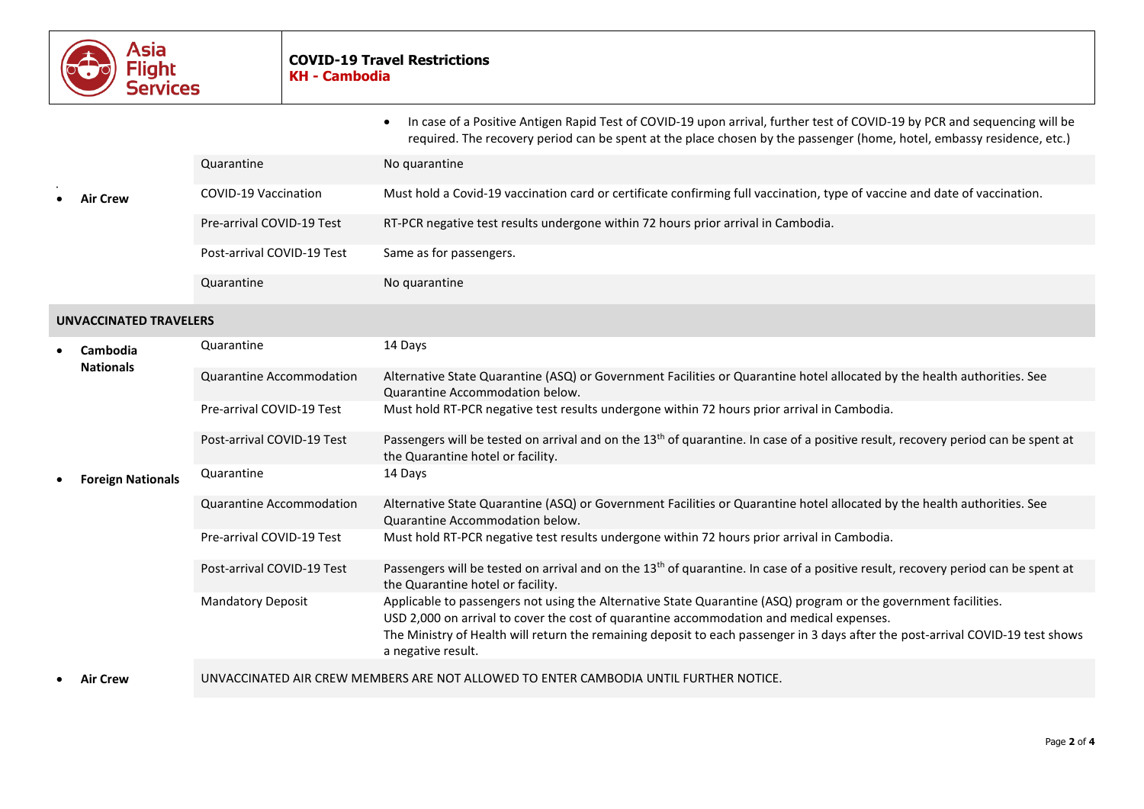

|                               |                          |                                                                                       | In case of a Positive Antigen Rapid Test of COVID-19 upon arrival, further test of COVID-19 by PCR and sequencing will be<br>required. The recovery period can be spent at the place chosen by the passenger (home, hotel, embassy residence, etc.)                                                                                                                  |
|-------------------------------|--------------------------|---------------------------------------------------------------------------------------|----------------------------------------------------------------------------------------------------------------------------------------------------------------------------------------------------------------------------------------------------------------------------------------------------------------------------------------------------------------------|
|                               |                          | Quarantine                                                                            | No quarantine                                                                                                                                                                                                                                                                                                                                                        |
|                               | <b>Air Crew</b>          | <b>COVID-19 Vaccination</b>                                                           | Must hold a Covid-19 vaccination card or certificate confirming full vaccination, type of vaccine and date of vaccination.                                                                                                                                                                                                                                           |
|                               |                          | Pre-arrival COVID-19 Test                                                             | RT-PCR negative test results undergone within 72 hours prior arrival in Cambodia.                                                                                                                                                                                                                                                                                    |
|                               |                          | Post-arrival COVID-19 Test                                                            | Same as for passengers.                                                                                                                                                                                                                                                                                                                                              |
|                               |                          | Quarantine                                                                            | No quarantine                                                                                                                                                                                                                                                                                                                                                        |
| <b>UNVACCINATED TRAVELERS</b> |                          |                                                                                       |                                                                                                                                                                                                                                                                                                                                                                      |
|                               | Cambodia                 | Quarantine                                                                            | 14 Days                                                                                                                                                                                                                                                                                                                                                              |
|                               | <b>Nationals</b>         | Quarantine Accommodation                                                              | Alternative State Quarantine (ASQ) or Government Facilities or Quarantine hotel allocated by the health authorities. See<br>Quarantine Accommodation below.                                                                                                                                                                                                          |
|                               |                          | Pre-arrival COVID-19 Test                                                             | Must hold RT-PCR negative test results undergone within 72 hours prior arrival in Cambodia.                                                                                                                                                                                                                                                                          |
|                               |                          | Post-arrival COVID-19 Test                                                            | Passengers will be tested on arrival and on the 13 <sup>th</sup> of quarantine. In case of a positive result, recovery period can be spent at<br>the Quarantine hotel or facility.                                                                                                                                                                                   |
|                               | <b>Foreign Nationals</b> | Quarantine                                                                            | 14 Days                                                                                                                                                                                                                                                                                                                                                              |
|                               |                          | Quarantine Accommodation                                                              | Alternative State Quarantine (ASQ) or Government Facilities or Quarantine hotel allocated by the health authorities. See<br><b>Quarantine Accommodation below.</b>                                                                                                                                                                                                   |
|                               |                          | Pre-arrival COVID-19 Test                                                             | Must hold RT-PCR negative test results undergone within 72 hours prior arrival in Cambodia.                                                                                                                                                                                                                                                                          |
|                               |                          | Post-arrival COVID-19 Test                                                            | Passengers will be tested on arrival and on the 13 <sup>th</sup> of quarantine. In case of a positive result, recovery period can be spent at<br>the Quarantine hotel or facility.                                                                                                                                                                                   |
|                               |                          | <b>Mandatory Deposit</b>                                                              | Applicable to passengers not using the Alternative State Quarantine (ASQ) program or the government facilities.<br>USD 2,000 on arrival to cover the cost of quarantine accommodation and medical expenses.<br>The Ministry of Health will return the remaining deposit to each passenger in 3 days after the post-arrival COVID-19 test shows<br>a negative result. |
|                               | <b>Air Crew</b>          | UNVACCINATED AIR CREW MEMBERS ARE NOT ALLOWED TO ENTER CAMBODIA UNTIL FURTHER NOTICE. |                                                                                                                                                                                                                                                                                                                                                                      |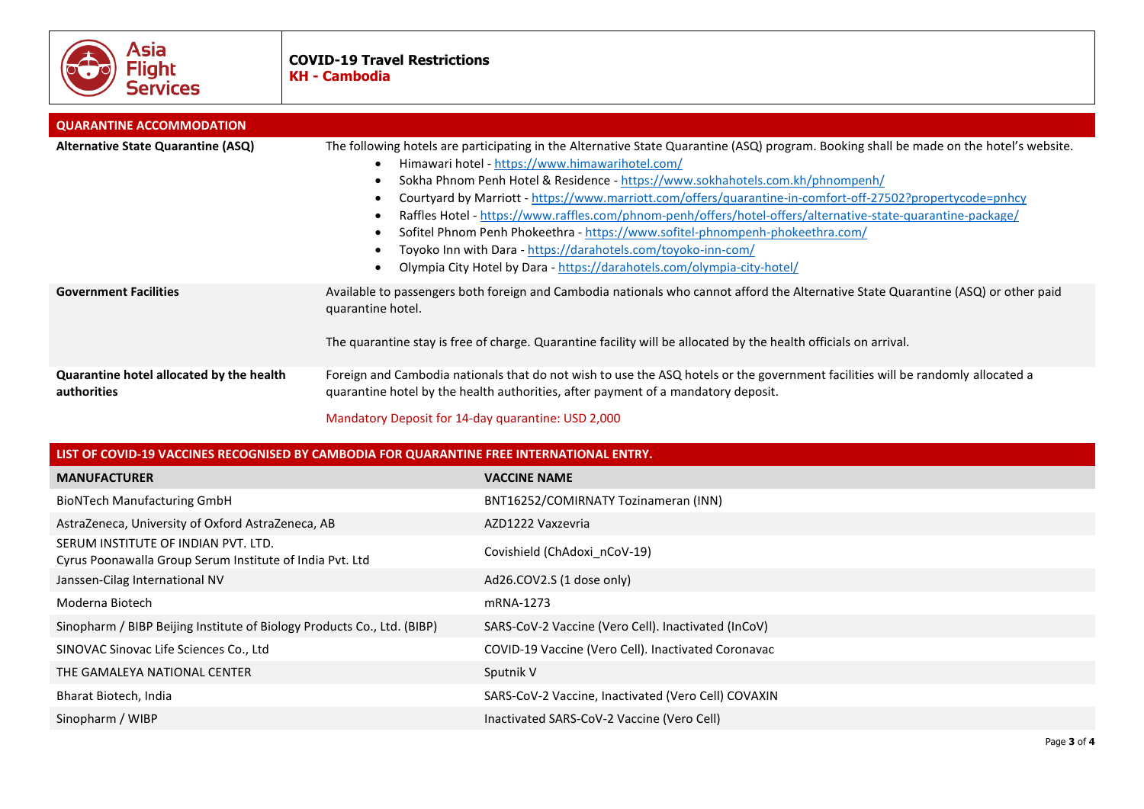

| <b>QUARANTINE ACCOMMODATION</b>                         |                                                                                                                                                                                                                                                                                                                                                                                                                                                                                                                                                                                                                                                                                                                                         |
|---------------------------------------------------------|-----------------------------------------------------------------------------------------------------------------------------------------------------------------------------------------------------------------------------------------------------------------------------------------------------------------------------------------------------------------------------------------------------------------------------------------------------------------------------------------------------------------------------------------------------------------------------------------------------------------------------------------------------------------------------------------------------------------------------------------|
| Alternative State Quarantine (ASQ)                      | The following hotels are participating in the Alternative State Quarantine (ASQ) program. Booking shall be made on the hotel's website.<br>Himawari hotel - https://www.himawarihotel.com/<br>Sokha Phnom Penh Hotel & Residence - https://www.sokhahotels.com.kh/phnompenh/<br>Courtyard by Marriott - https://www.marriott.com/offers/quarantine-in-comfort-off-27502?propertycode=pnhcy<br>Raffles Hotel - https://www.raffles.com/phnom-penh/offers/hotel-offers/alternative-state-quarantine-package/<br>Sofitel Phnom Penh Phokeethra - https://www.sofitel-phnompenh-phokeethra.com/<br>Toyoko Inn with Dara - https://darahotels.com/toyoko-inn-com/<br>Olympia City Hotel by Dara - https://darahotels.com/olympia-city-hotel/ |
| <b>Government Facilities</b>                            | Available to passengers both foreign and Cambodia nationals who cannot afford the Alternative State Quarantine (ASQ) or other paid<br>quarantine hotel.<br>The quarantine stay is free of charge. Quarantine facility will be allocated by the health officials on arrival.                                                                                                                                                                                                                                                                                                                                                                                                                                                             |
| Quarantine hotel allocated by the health<br>authorities | Foreign and Cambodia nationals that do not wish to use the ASQ hotels or the government facilities will be randomly allocated a<br>quarantine hotel by the health authorities, after payment of a mandatory deposit.                                                                                                                                                                                                                                                                                                                                                                                                                                                                                                                    |

Mandatory Deposit for 14-day quarantine: USD 2,000

| LIST OF COVID-19 VACCINES RECOGNISED BY CAMBODIA FOR QUARANTINE FREE INTERNATIONAL ENTRY.       |                                                     |  |
|-------------------------------------------------------------------------------------------------|-----------------------------------------------------|--|
| <b>MANUFACTURER</b>                                                                             | <b>VACCINE NAME</b>                                 |  |
| <b>BioNTech Manufacturing GmbH</b>                                                              | BNT16252/COMIRNATY Tozinameran (INN)                |  |
| AstraZeneca, University of Oxford AstraZeneca, AB                                               | AZD1222 Vaxzevria                                   |  |
| SERUM INSTITUTE OF INDIAN PVT. LTD.<br>Cyrus Poonawalla Group Serum Institute of India Pvt. Ltd | Covishield (ChAdoxi nCoV-19)                        |  |
| Janssen-Cilag International NV                                                                  | Ad26.COV2.S (1 dose only)                           |  |
| Moderna Biotech                                                                                 | mRNA-1273                                           |  |
| Sinopharm / BIBP Beijing Institute of Biology Products Co., Ltd. (BIBP)                         | SARS-CoV-2 Vaccine (Vero Cell). Inactivated (InCoV) |  |
| SINOVAC Sinovac Life Sciences Co., Ltd                                                          | COVID-19 Vaccine (Vero Cell). Inactivated Coronavac |  |
| THE GAMALEYA NATIONAL CENTER                                                                    | Sputnik V                                           |  |
| Bharat Biotech, India                                                                           | SARS-CoV-2 Vaccine, Inactivated (Vero Cell) COVAXIN |  |
| Sinopharm / WIBP                                                                                | Inactivated SARS-CoV-2 Vaccine (Vero Cell)          |  |